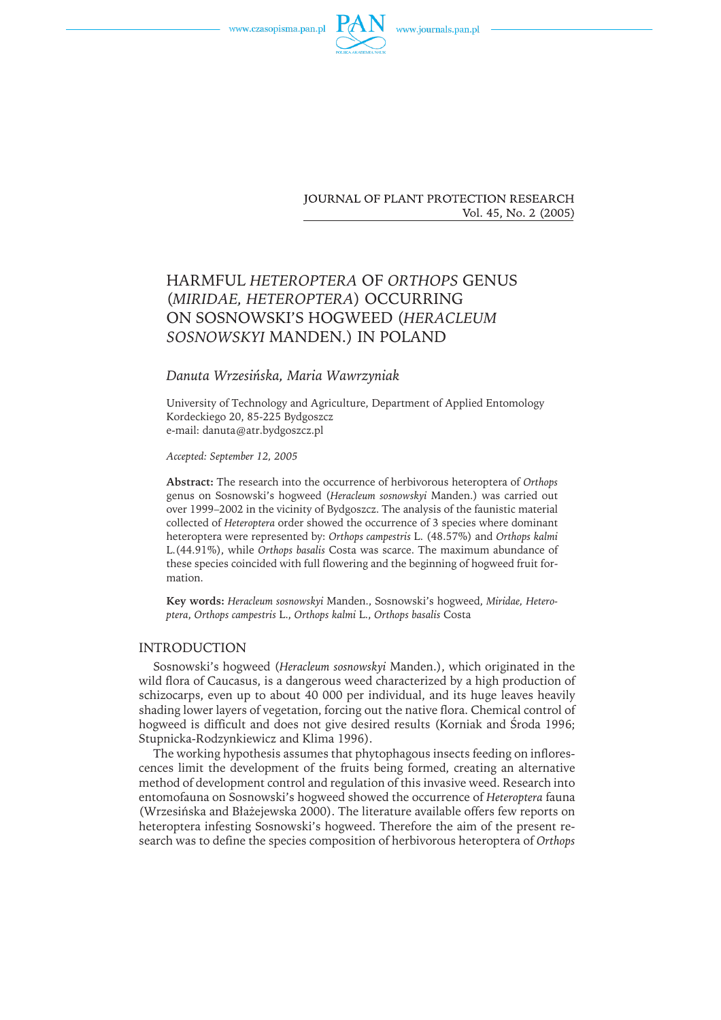



**JOURNAL OF PLANT PROTECTION RESEARCH** Vol. 45, No. 2 (2005)

# HARMFUL *HETEROPTERA* OF *ORTHOPS* GENUS (*MIRIDAE, HETEROPTERA*) OCCURRING ON SOSNOWSKI'S HOGWEED (*HERACLEUM SOSNOWSKYI* MANDEN.) IN POLAND

## *Danuta Wrzesińska, Maria Wawrzyniak*

University of Technology and Agriculture, Department of Applied Entomology Kordeckiego 20, 85-225 Bydgoszcz e-mail: danuta@atr.bydgoszcz.pl

*Accepted: September 12, 2005*

**Abstract:** The research into the occurrence of herbivorous heteroptera of *Orthops* genus on Sosnowski's hogweed (*Heracleum sosnowskyi* Manden.) was carried out over 1999–2002 in the vicinity of Bydgoszcz. The analysis of the faunistic material collected of *Heteroptera* order showed the occurrence of 3 species where dominant heteroptera were represented by: *Orthops campestris* L. (48.57%) and *Orthops kalmi* L.(44.91%), while *Orthops basalis* Costa was scarce. The maximum abundance of these species coincided with full flowering and the beginning of hogweed fruit formation.

**Key words:** *Heracleum sosnowskyi* Manden., Sosnowski's hogweed, *Miridae, Heteroptera*, *Orthops campestris* L., *Orthops kalmi* L., *Orthops basalis* Costa

## INTRODUCTION

Sosnowski's hogweed (*Heracleum sosnowskyi* Manden.), which originated in the wild flora of Caucasus, is a dangerous weed characterized by a high production of schizocarps, even up to about 40 000 per individual, and its huge leaves heavily shading lower layers of vegetation, forcing out the native flora. Chemical control of hogweed is difficult and does not give desired results (Korniak and Środa 1996; Stupnicka-Rodzynkiewicz and Klima 1996).

The working hypothesis assumes that phytophagous insects feeding on inflorescences limit the development of the fruits being formed, creating an alternative method of development control and regulation of this invasive weed. Research into entomofauna on Sosnowski's hogweed showed the occurrence of *Heteroptera* fauna (Wrzesińska and Błażejewska 2000). The literature available offers few reports on heteroptera infesting Sosnowski's hogweed. Therefore the aim of the present research was to define the species composition of herbivorous heteroptera of *Orthops*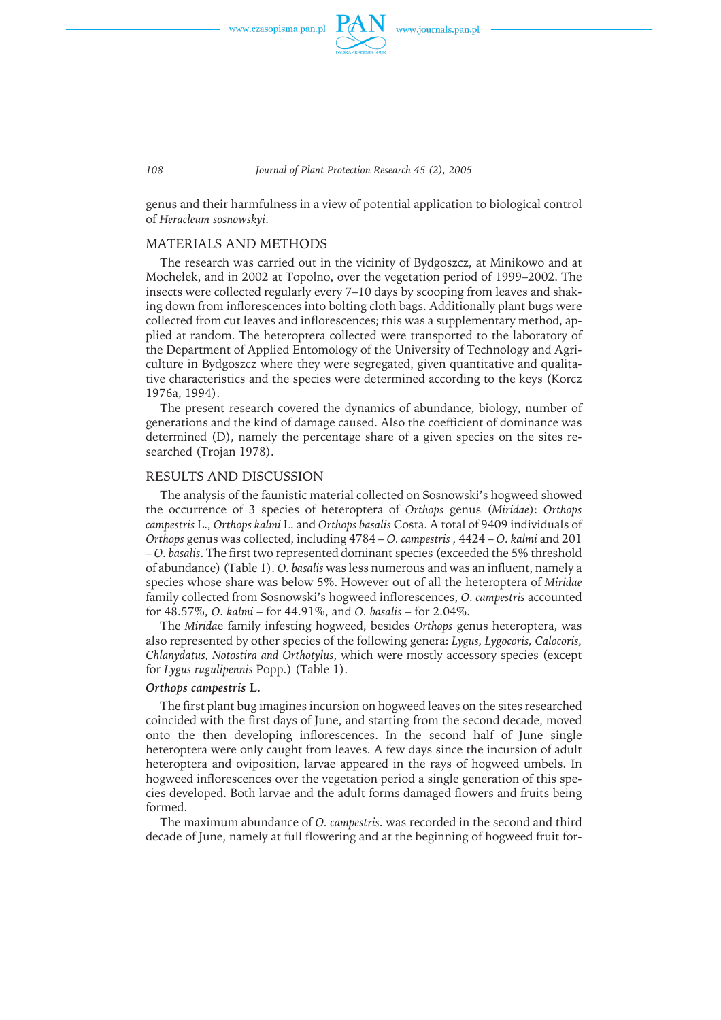

*108 Journal of Plant Protection Research 45 (2), 2005*

genus and their harmfulness in a view of potential application to biological control of *Heracleum sosnowskyi*.

## MATERIALS AND METHODS

The research was carried out in the vicinity of Bydgoszcz, at Minikowo and at Mochełek, and in 2002 at Topolno, over the vegetation period of 1999–2002. The insects were collected regularly every 7–10 days by scooping from leaves and shaking down from inflorescences into bolting cloth bags. Additionally plant bugs were collected from cut leaves and inflorescences; this was a supplementary method, applied at random. The heteroptera collected were transported to the laboratory of the Department of Applied Entomology of the University of Technology and Agriculture in Bydgoszcz where they were segregated, given quantitative and qualitative characteristics and the species were determined according to the keys (Korcz 1976a, 1994).

The present research covered the dynamics of abundance, biology, number of generations and the kind of damage caused. Also the coefficient of dominance was determined (D), namely the percentage share of a given species on the sites researched (Trojan 1978).

### RESULTS AND DISCUSSION

The analysis of the faunistic material collected on Sosnowski's hogweed showed the occurrence of 3 species of heteroptera of *Orthops* genus (*Miridae*): *Orthops campestris* L., *Orthops kalmi* L. and *Orthops basalis* Costa. A total of 9409 individuals of *Orthops* genus was collected, including 4784 – *O. campestris* , 4424 – *O. kalmi* and 201 – *O. basalis*. The first two represented dominant species (exceeded the 5% threshold of abundance) (Table 1). *O. basalis* was less numerous and was an influent, namely a species whose share was below 5%. However out of all the heteroptera of *Miridae* family collected from Sosnowski's hogweed inflorescences, *O. campestris* accounted for 48.57%, *O. kalmi* – for 44.91%, and *O. basalis* – for 2.04%.

The *Mirida*e family infesting hogweed, besides *Orthops* genus heteroptera, was also represented by other species of the following genera: *Lygus, Lygocoris, Calocoris, Chlanydatus, Notostira and Orthotylus*, which were mostly accessory species (except for *Lygus rugulipennis* Popp.) (Table 1).

#### *Orthops campestris* **L.**

The first plant bug imagines incursion on hogweed leaves on the sites researched coincided with the first days of June, and starting from the second decade, moved onto the then developing inflorescences. In the second half of June single heteroptera were only caught from leaves. A few days since the incursion of adult heteroptera and oviposition, larvae appeared in the rays of hogweed umbels. In hogweed inflorescences over the vegetation period a single generation of this species developed. Both larvae and the adult forms damaged flowers and fruits being formed.

The maximum abundance of *O. campestris*. was recorded in the second and third decade of June, namely at full flowering and at the beginning of hogweed fruit for-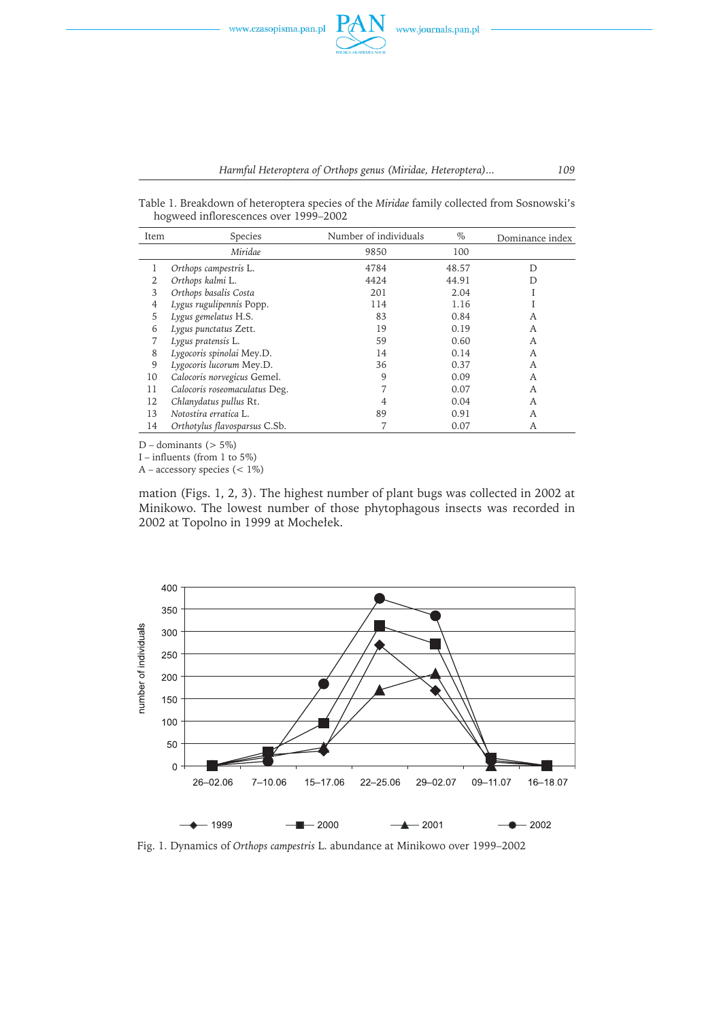Table 1. Breakdown of heteroptera species of the *Miridae* family collected from Sosnowski's hogweed inflorescences over 1999–2002

| Item | Species                       | Number of individuals | $\%$  | Dominance index |
|------|-------------------------------|-----------------------|-------|-----------------|
|      | Miridae                       | 9850                  | 100   |                 |
|      | Orthops campestris L.         | 4784                  | 48.57 | D               |
| 2    | Orthops kalmi L.              | 4424                  | 44.91 | D               |
| 3    | Orthops basalis Costa         | 201                   | 2.04  |                 |
| 4    | Lygus rugulipennis Popp.      | 114                   | 1.16  |                 |
| 5    | Lygus gemelatus H.S.          | 83                    | 0.84  | A               |
| 6    | Lygus punctatus Zett.         | 19                    | 0.19  | A               |
|      | Lygus pratensis L.            | 59                    | 0.60  | A               |
| 8    | Lygocoris spinolai Mey.D.     | 14                    | 0.14  | A               |
| 9    | Lygocoris lucorum Mey.D.      | 36                    | 0.37  | A               |
| 10   | Calocoris norvegicus Gemel.   | 9                     | 0.09  | A               |
| 11   | Calocoris roseomaculatus Deg. |                       | 0.07  | A               |
| 12   | Chlanydatus pullus Rt.        | 4                     | 0.04  | A               |
| 13   | Notostira erratica L.         | 89                    | 0.91  | A               |
| 14   | Orthotylus flavosparsus C.Sb. |                       | 0.07  | А               |

 $D$  – dominants ( $> 5\%$ )

I – influents (from 1 to 5%)

A – accessory species  $(< 1\%)$ 

mation (Figs. 1, 2, 3). The highest number of plant bugs was collected in 2002 at Minikowo. The lowest number of those phytophagous insects was recorded in 2002 at Topolno in 1999 at Mochełek.



Fig. 1. Dynamics of *Orthops campestris* L. abundance at Minikowo over 1999–2002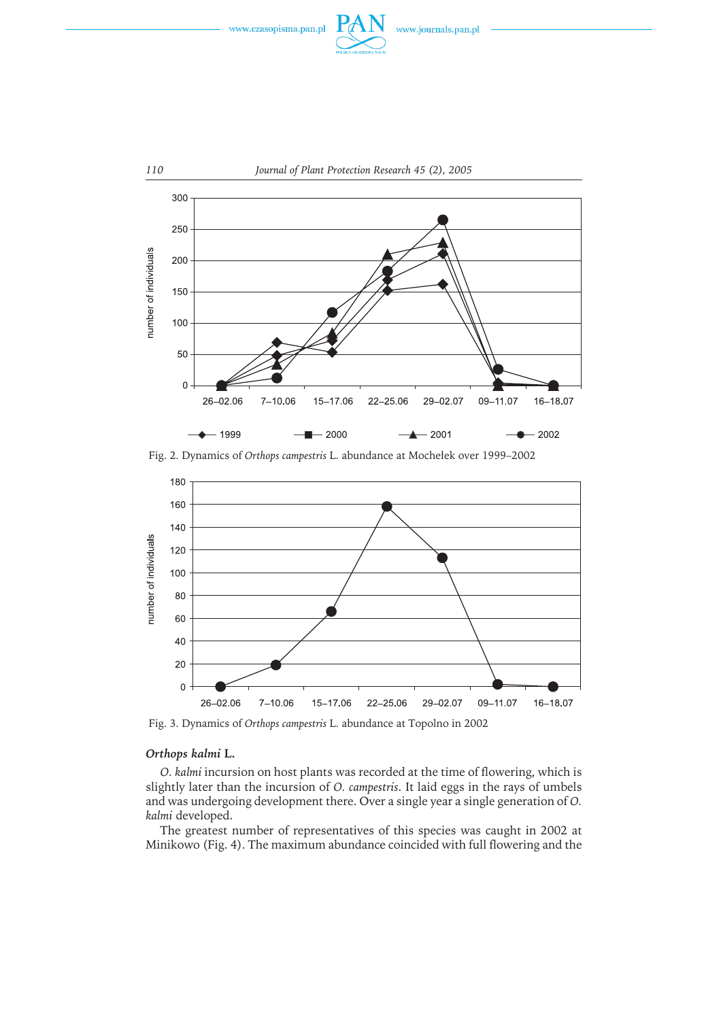



Fig. 2. Dynamics of *Orthops campestris* L. abundance at Mochełek over 1999–2002



Fig. 3. Dynamics of *Orthops campestris* L. abundance at Topolno in 2002

## *Orthops kalmi* **L.**

*O. kalmi* incursion on host plants was recorded at the time of flowering, which is slightly later than the incursion of *O. campestris*. It laid eggs in the rays of umbels and was undergoing development there. Over a single year a single generation of *O. kalmi* developed.

The greatest number of representatives of this species was caught in 2002 at Minikowo (Fig. 4). The maximum abundance coincided with full flowering and the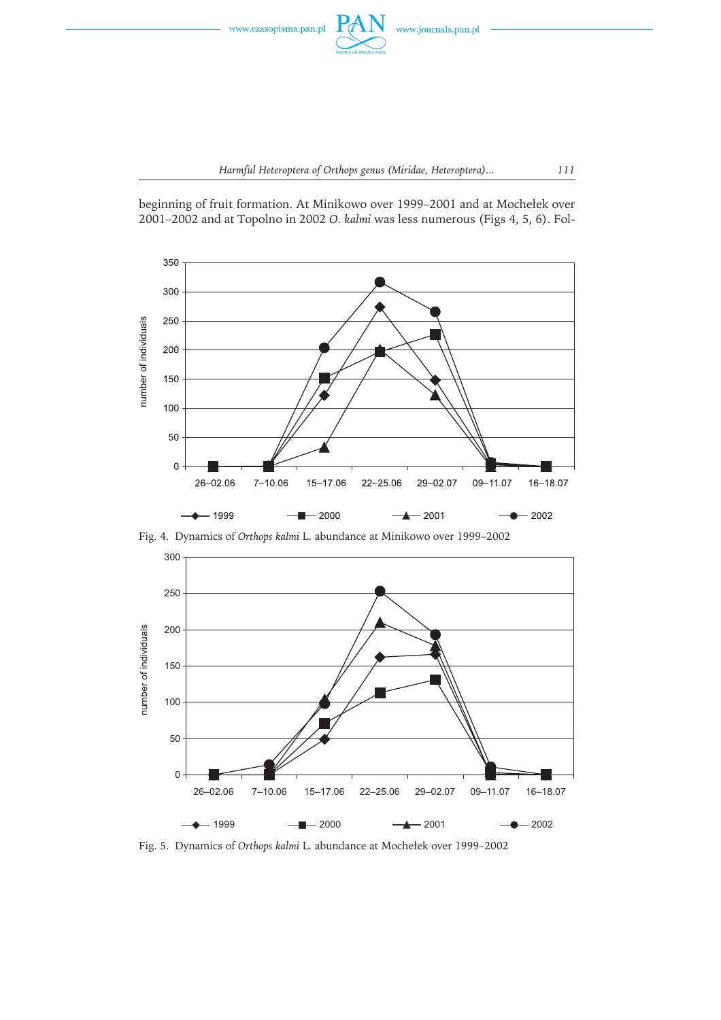



beginning of fruit formation. At Minikowo over 1999–2001 and at Mochełek over 2001–2002 and at Topolno in 2002 *O. kalmi* was less numerous (Figs 4, 5, 6). Fol-



Fig. 4. Dynamics of *Orthops kalmi* L. abundance at Minikowo over 1999–2002



Fig. 5. Dynamics of *Orthops kalmi* L. abundance at Mochełek over 1999–2002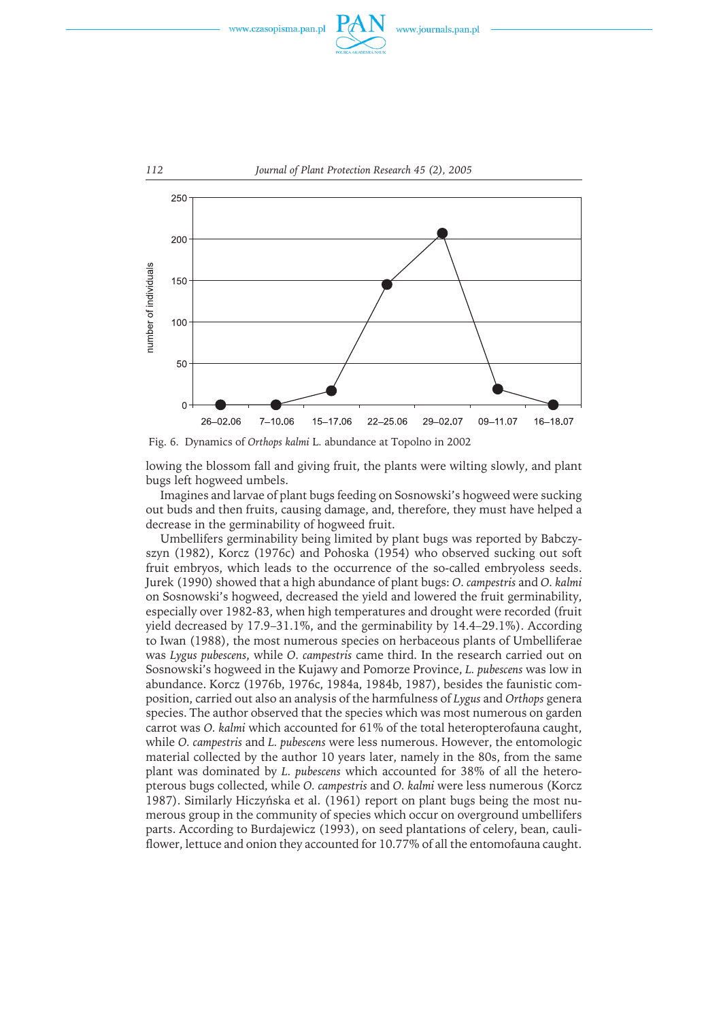



Fig. 6. Dynamics of *Orthops kalmi* L. abundance at Topolno in 2002

lowing the blossom fall and giving fruit, the plants were wilting slowly, and plant bugs left hogweed umbels.

Imagines and larvae of plant bugs feeding on Sosnowski's hogweed were sucking out buds and then fruits, causing damage, and, therefore, they must have helped a decrease in the germinability of hogweed fruit.

Umbellifers germinability being limited by plant bugs was reported by Babczyszyn (1982), Korcz (1976c) and Pohoska (1954) who observed sucking out soft fruit embryos, which leads to the occurrence of the so-called embryoless seeds. Jurek (1990) showed that a high abundance of plant bugs: *O. campestris* and *O. kalmi* on Sosnowski's hogweed, decreased the yield and lowered the fruit germinability, especially over 1982-83, when high temperatures and drought were recorded (fruit yield decreased by 17.9–31.1%, and the germinability by 14.4–29.1%). According to Iwan (1988), the most numerous species on herbaceous plants of Umbelliferae was *Lygus pubescens*, while *O. campestris* came third. In the research carried out on Sosnowski's hogweed in the Kujawy and Pomorze Province, *L. pubescens* was low in abundance. Korcz (1976b, 1976c, 1984a, 1984b, 1987), besides the faunistic composition, carried out also an analysis of the harmfulness of *Lygus* and *Orthops* genera species. The author observed that the species which was most numerous on garden carrot was *O. kalmi* which accounted for 61% of the total heteropterofauna caught, while *O. campestris* and *L. pubescens* were less numerous. However, the entomologic material collected by the author 10 years later, namely in the 80s, from the same plant was dominated by *L. pubescens* which accounted for 38% of all the heteropterous bugs collected, while *O. campestris* and *O. kalmi* were less numerous (Korcz 1987). Similarly Hiczyńska et al. (1961) report on plant bugs being the most numerous group in the community of species which occur on overground umbellifers parts. According to Burdajewicz (1993), on seed plantations of celery, bean, cauliflower, lettuce and onion they accounted for 10.77% of all the entomofauna caught.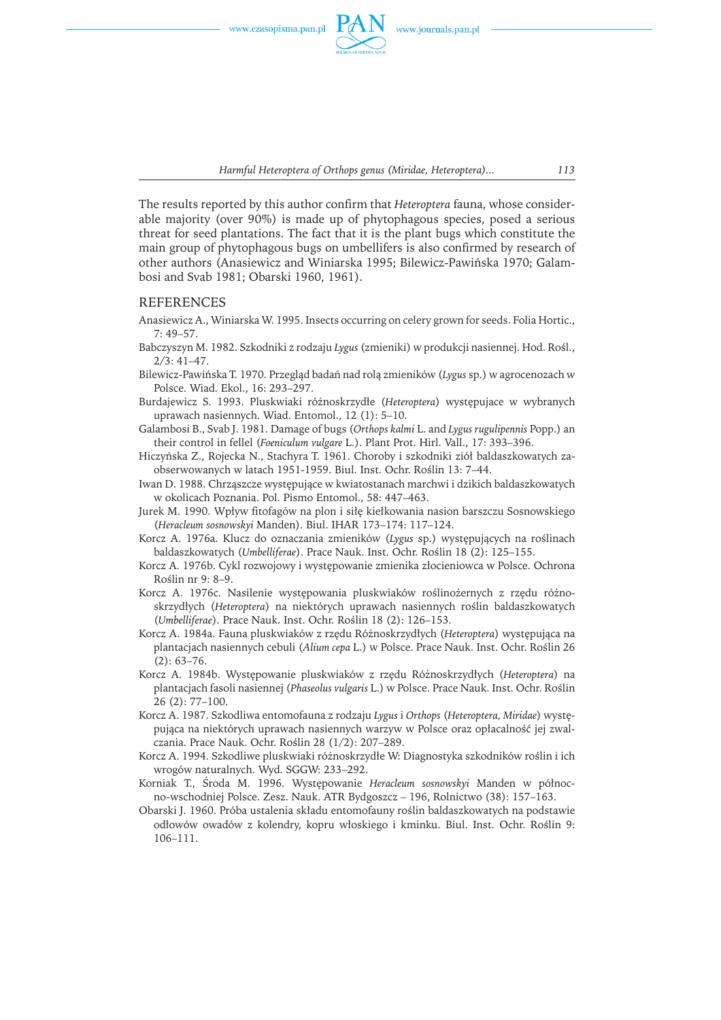

*Harmful Heteroptera of Orthops genus (Miridae, Heteroptera)... 113*

The results reported by this author confirm that *Heteroptera* fauna, whose considerable majority (over 90%) is made up of phytophagous species, posed a serious threat for seed plantations. The fact that it is the plant bugs which constitute the main group of phytophagous bugs on umbellifers is also confirmed by research of other authors (Anasiewicz and Winiarska 1995; Bilewicz-Pawińska 1970; Galambosi and Svab 1981; Obarski 1960, 1961).

#### REFERENCES

- Anasiewicz A., Winiarska W. 1995. Insects occurring on celery grown for seeds. Folia Hortic., 7: 49–57.
- Babczyszyn M. 1982. Szkodniki z rodzaju *Lygus* (zmieniki) w produkcji nasiennej. Hod. Rośl., 2/3: 41–47.
- Bilewicz-Pawińska T. 1970. Przegląd badań nad rolą zmieników (*Lygus* sp.) w agrocenozach w Polsce. Wiad. Ekol., 16: 293–297.
- Burdajewicz S. 1993. Pluskwiaki różnoskrzydłe (*Heteroptera*) występujace w wybranych uprawach nasiennych. Wiad. Entomol., 12 (1): 5–10.
- Galambosi B., Svab J. 1981. Damage of bugs (*Orthops kalmi* L. and *Lygus rugulipennis* Popp.) an their control in fellel (*Foeniculum vulgare* L.). Plant Prot. Hirl. Vall., 17: 393–396.
- Hiczyńska Z., Rojecka N., Stachyra T. 1961. Choroby i szkodniki ziół baldaszkowatych zaobserwowanych w latach 1951-1959. Biul. Inst. Ochr. Roślin 13: 7–44.
- Iwan D. 1988. Chrząszcze występujące w kwiatostanach marchwi i dzikich baldaszkowatych w okolicach Poznania. Pol. Pismo Entomol., 58: 447–463.
- Jurek M. 1990. Wpływ fitofagów na plon i siłę kiełkowania nasion barszczu Sosnowskiego (*Heracleum sosnowskyi* Manden). Biul. IHAR 173–174: 117–124.
- Korcz A. 1976a. Klucz do oznaczania zmieników (*Lygus* sp.) występujących na roślinach baldaszkowatych (*Umbelliferae*). Prace Nauk. Inst. Ochr. Roślin 18 (2): 125–155.
- Korcz A. 1976b. Cykl rozwojowy i występowanie zmienika złocieniowca w Polsce. Ochrona Roślin nr 9: 8–9.
- Korcz A. 1976c. Nasilenie występowania pluskwiaków roślinożernych z rzędu różnoskrzydłych (*Heteroptera*) na niektórych uprawach nasiennych roślin baldaszkowatych (*Umbelliferae*). Prace Nauk. Inst. Ochr. Roślin 18 (2): 126–153.
- Korcz A. 1984a. Fauna pluskwiaków z rzędu Różnoskrzydłych (*Heteroptera*) występująca na plantacjach nasiennych cebuli (*Alium cepa* L.) w Polsce. Prace Nauk. Inst. Ochr. Roślin 26  $(2): 63 - 76.$
- Korcz A. 1984b. Występowanie pluskwiaków z rzędu Różnoskrzydłych (*Heteroptera*) na plantacjach fasoli nasiennej (*Phaseolus vulgaris* L.) w Polsce. Prace Nauk. Inst. Ochr. Roślin 26 (2): 77–100.
- Korcz A. 1987. Szkodliwa entomofauna z rodzaju *Lygus* i *Orthops* (*Heteroptera, Miridae*) występująca na niektórych uprawach nasiennych warzyw w Polsce oraz opłacalność jej zwalczania. Prace Nauk. Ochr. Roślin 28 (1/2): 207–289.
- Korcz A. 1994. Szkodliwe pluskwiaki różnoskrzydłe W: Diagnostyka szkodników roślin i ich wrogów naturalnych. Wyd. SGGW: 233–292.
- Korniak T., Środa M. 1996. Występowanie *Heracleum sosnowskyi* Manden w północno-wschodniej Polsce. Zesz. Nauk. ATR Bydgoszcz – 196, Rolnictwo (38): 157–163.
- Obarski J. 1960. Próba ustalenia składu entomofauny roślin baldaszkowatych na podstawie odłowów owadów z kolendry, kopru włoskiego i kminku. Biul. Inst. Ochr. Roślin 9: 106–111.